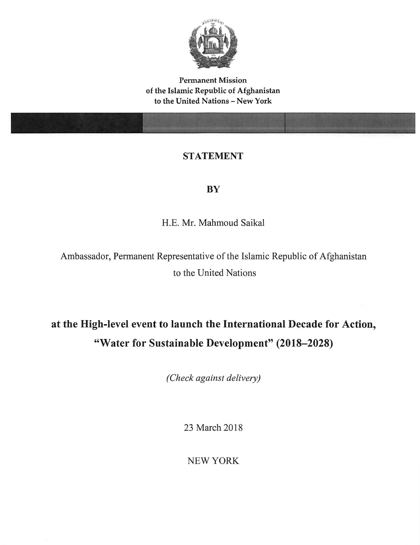

Permanent Mission of the Islamic Republic of Afghanistan to the United Nations - New York

## STATEMENT

## **BY**

H.E. Mr. Mahmoud Saikal

Ambassador, Permanent Representative of the Islamic Republic of Afghanistan to the United Nations

# at the High-level event to launch the International Decade for Action, "Water for Sustainable Development" (2018-2028)

(Check against delivery)

23 March 2018

NEW YORK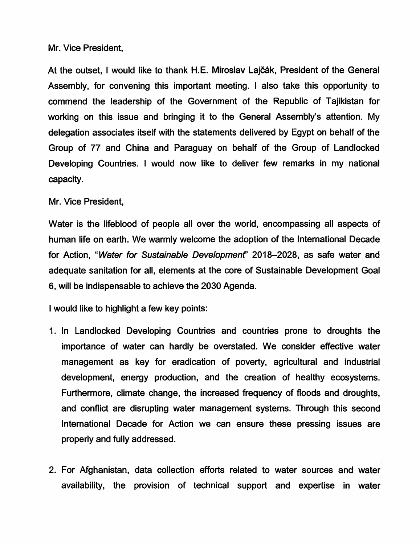Mr. Vice President,

At the outset, I would like to thank H.E. Miroslav Lajčák, President of the General Assembly, for convening this important meeting, i also take this opportunity to commend the leadership of the Government of the Republic of Tajikistan for working on this issue and bringing it to the General Assembly's attention. My delegation associates itself with the statements delivered by Egypt on behalf of the Group of 77 and China and Paraguay on behalf of the Group of Landlocked Developing Countries. I would now like to deliver few remarks in my national capacity.

### Mr. Vice President,

Water is the lifeblood of people all over the world, encompassing all aspects of human life on earth. We warmly welcome the adoption of the international Decade for Action, "Water for Sustainable Development" 2018-2028, as safe water and adequate sanitation for ail, elements at the core of Sustainable Development Goal 6, will be indispensable to achieve the 2030 Agenda.

I would like to highlight a few key points:

- 1. in Landlocked Developing Countries and countries prone to droughts the importance of water can hardly be overstated. We consider effective water management as key for eradication of poverty, agricultural and industrial development, energy production, and the creation of healthy ecosystems. Furthermore, climate change, the increased frequency of floods and droughts, and conflict are disrupting water management systems. Through this second international Decade for Action we can ensure these pressing issues are properly and fully addressed.
- 2. For Afghanistan, data collection efforts related to water sources and water availability, the provision of technical support and expertise in water